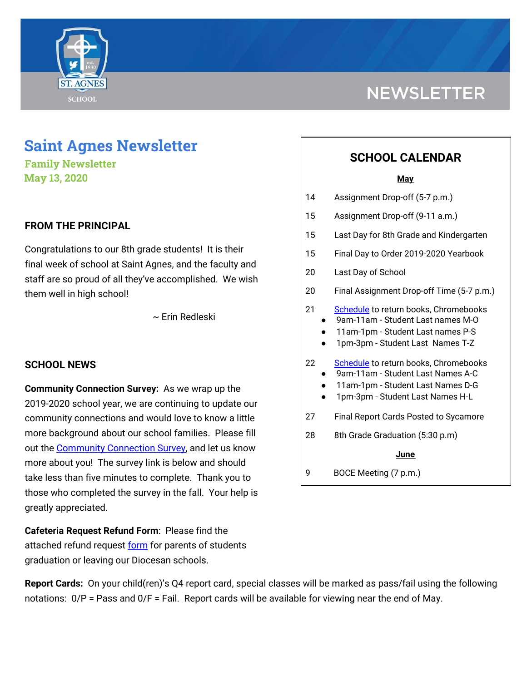

# **NEWSLETTER**

# **Saint Agnes Newsletter**

**Family Newsletter May 13, 2020**

## **FROM THE PRINCIPAL**

Congratulations to our 8th grade students! It is their final week of school at Saint Agnes, and the faculty and staff are so proud of all they've accomplished. We wish them well in high school!

~ Erin Redleski

### **SCHOOL NEWS**

**Community Connection Survey:** As we wrap up the 2019-2020 school year, we are continuing to update our community connections and would love to know a little more background about our school families. Please fill out the [Community](https://www.surveymonkey.com/r/JJ5CH8Y) Connection Survey, and let us know more about you! The survey link is below and should take less than five minutes to complete. Thank you to those who completed the survey in the fall. Your help is greatly appreciated.

**Cafeteria Request Refund Form**: Please find the attached refund request [form](https://drive.google.com/file/d/188gscNszvfzOP4-f9Qhc-Y-2ll7CQvi4/view?usp=sharing) for parents of students graduation or leaving our Diocesan schools.

# **SCHOOL CALENDAR**

#### **May**

- 14 Assignment Drop-off (5-7 p.m.)
- 15 Assignment Drop-off (9-11 a.m.)
- 15 Last Day for 8th Grade and Kindergarten
- 15 Final Day to Order 2019-2020 Yearbook
- 20 Last Day of School
- 20 Final Assignment Drop-off Time (5-7 p.m.)
- 21 [Schedule](https://docs.google.com/document/d/1apUCujKQM2QIvUxD4KWNE2487j4bKnFSdJO9KEWvJT8/edit?usp=sharing) to return books, Chromebooks 9am-11am - Student Last names M-O
	- 11am-1pm Student Last names P-S
	- 1pm-3pm Student Last Names T-Z
- 22 [Schedule](https://docs.google.com/document/d/1apUCujKQM2QIvUxD4KWNE2487j4bKnFSdJO9KEWvJT8/edit?usp=sharing) to return books, Chromebooks
	- 9am-11am Student Last Names A-C
	- 11am-1pm Student Last Names D-G
	- 1pm-3pm Student Last Names H-L
- 27 Final Report Cards Posted to Sycamore
- 28 8th Grade Graduation (5:30 p.m)

#### **June**

9 BOCE Meeting (7 p.m.)

**Report Cards:** On your child(ren)'s Q4 report card, special classes will be marked as pass/fail using the following notations: 0/P = Pass and 0/F = Fail. Report cards will be available for viewing near the end of May.